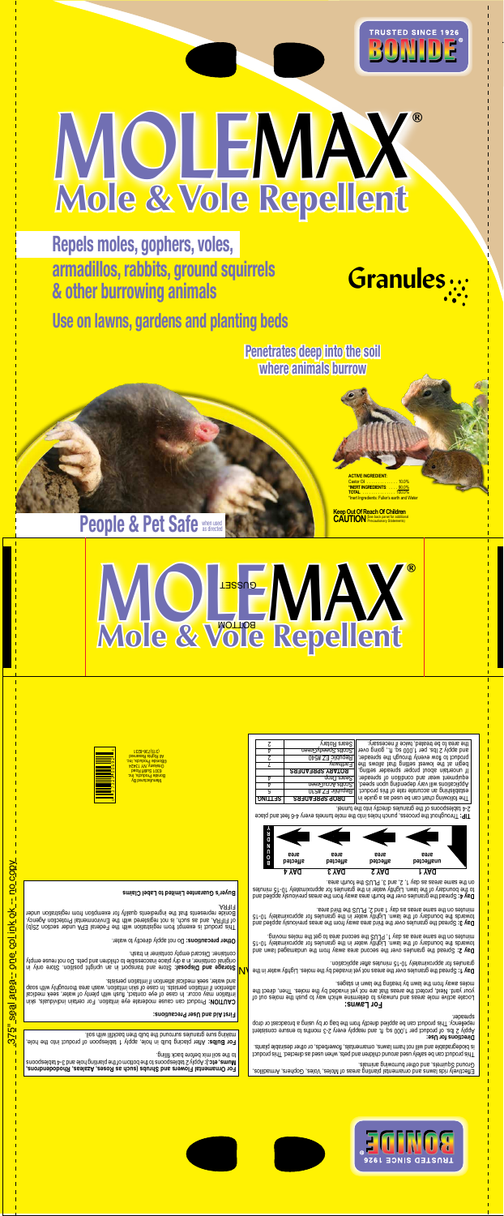

## **MOLEMAX Mole & Vole Repellent** ®

**Repels moles, gophers, voles, armadillos, rabbits, ground squirrels & other burrowing animals**

**Use on lawns, gardens and planting beds**

**Penetrates deep into the soil Penetrates deep into the soil where animals burrow where animals burrow**

**People & Pet Safe when used** 

**ACTIVE INGREDIENT:** Castor Oil . . . . . . . . . . . . . . 10.0% **\*INERT INGREDIENTS**: . . . . 90.0% **TOTAL** . . . . . . . . . . . . . . . 100.0% \*Inert Ingredients: Fuller's earth and Water

**Granules**

**Keep Out Of Reach Of Children** CAUTION<sup>(See back panel for additional</sup>